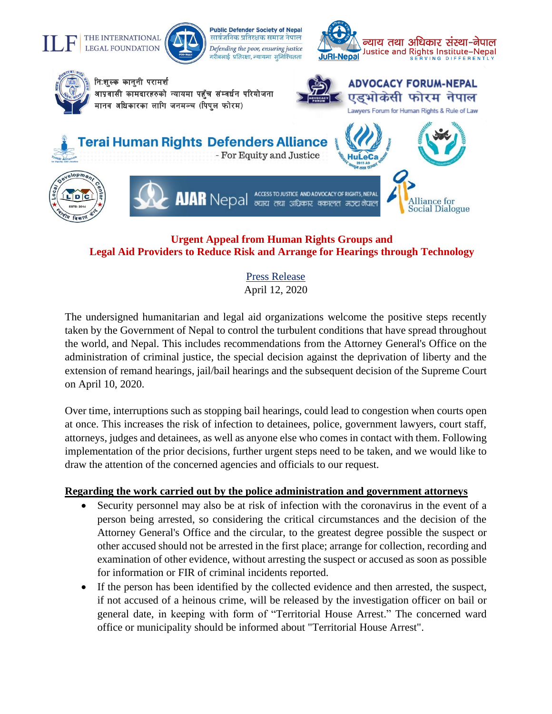# THE INTERNATIONAL **LEGAL FOUNDATION**



**Public Defender Society of Nepal** सार्वजनिक प्रतिरक्षक समाज नेपाल Defending the poor, ensuring justice गरीबलाई प्रतिरक्षा, न्यायमा सुनिश्चितता



Lawyers Forum for Human Rights & Rule of Law

Alliance for

**Social Dialogue** 



निःशुल्क कानुनी परामर्श

आप्रवासी कामदारहरुको न्यायमा पहुँच संम्वर्धन परियोजना मानव अधिकारका लागि जनमञ्च (पिपुल फोरम)



**HuLeCa** 

 $\overline{\phantom{a}}$ erai Human Rights Defenders Alliance

- For Equity and Justice





**AJAR** Nepal **RECESS TOJU** ACCESS TO JUSTICE AND ADVOCACY OF RIGHTS, NEPAL अधिकार वकालत मञ्चलोपाल

# **Urgent Appeal from Human Rights Groups and Legal Aid Providers to Reduce Risk and Arrange for Hearings through Technology**

Press Release April 12, 2020

The undersigned humanitarian and legal aid organizations welcome the positive steps recently taken by the Government of Nepal to control the turbulent conditions that have spread throughout the world, and Nepal. This includes recommendations from the Attorney General's Office on the administration of criminal justice, the special decision against the deprivation of liberty and the extension of remand hearings, jail/bail hearings and the subsequent decision of the Supreme Court on April 10, 2020.

Over time, interruptions such as stopping bail hearings, could lead to congestion when courts open at once. This increases the risk of infection to detainees, police, government lawyers, court staff, attorneys, judges and detainees, as well as anyone else who comes in contact with them. Following implementation of the prior decisions, further urgent steps need to be taken, and we would like to draw the attention of the concerned agencies and officials to our request.

## **Regarding the work carried out by the police administration and government attorneys**

- Security personnel may also be at risk of infection with the coronavirus in the event of a person being arrested, so considering the critical circumstances and the decision of the Attorney General's Office and the circular, to the greatest degree possible the suspect or other accused should not be arrested in the first place; arrange for collection, recording and examination of other evidence, without arresting the suspect or accused as soon as possible for information or FIR of criminal incidents reported.
- If the person has been identified by the collected evidence and then arrested, the suspect, if not accused of a heinous crime, will be released by the investigation officer on bail or general date, in keeping with form of "Territorial House Arrest." The concerned ward office or municipality should be informed about "Territorial House Arrest".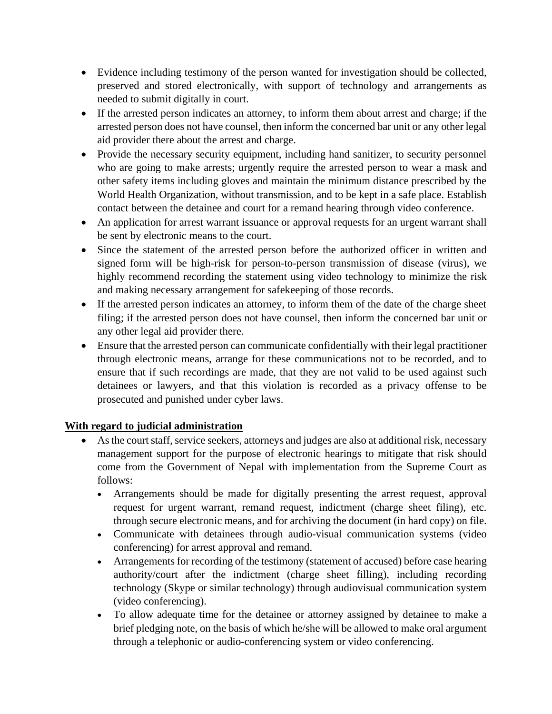- Evidence including testimony of the person wanted for investigation should be collected, preserved and stored electronically, with support of technology and arrangements as needed to submit digitally in court.
- If the arrested person indicates an attorney, to inform them about arrest and charge; if the arrested person does not have counsel, then inform the concerned bar unit or any other legal aid provider there about the arrest and charge.
- Provide the necessary security equipment, including hand sanitizer, to security personnel who are going to make arrests; urgently require the arrested person to wear a mask and other safety items including gloves and maintain the minimum distance prescribed by the World Health Organization, without transmission, and to be kept in a safe place. Establish contact between the detainee and court for a remand hearing through video conference.
- An application for arrest warrant issuance or approval requests for an urgent warrant shall be sent by electronic means to the court.
- Since the statement of the arrested person before the authorized officer in written and signed form will be high-risk for person-to-person transmission of disease (virus), we highly recommend recording the statement using video technology to minimize the risk and making necessary arrangement for safekeeping of those records.
- If the arrested person indicates an attorney, to inform them of the date of the charge sheet filing; if the arrested person does not have counsel, then inform the concerned bar unit or any other legal aid provider there.
- Ensure that the arrested person can communicate confidentially with their legal practitioner through electronic means, arrange for these communications not to be recorded, and to ensure that if such recordings are made, that they are not valid to be used against such detainees or lawyers, and that this violation is recorded as a privacy offense to be prosecuted and punished under cyber laws.

## **With regard to judicial administration**

- As the court staff, service seekers, attorneys and judges are also at additional risk, necessary management support for the purpose of electronic hearings to mitigate that risk should come from the Government of Nepal with implementation from the Supreme Court as follows:
	- Arrangements should be made for digitally presenting the arrest request, approval request for urgent warrant, remand request, indictment (charge sheet filing), etc. through secure electronic means, and for archiving the document (in hard copy) on file.
	- Communicate with detainees through audio-visual communication systems (video conferencing) for arrest approval and remand.
	- Arrangements for recording of the testimony (statement of accused) before case hearing authority/court after the indictment (charge sheet filling), including recording technology (Skype or similar technology) through audiovisual communication system (video conferencing).
	- To allow adequate time for the detainee or attorney assigned by detainee to make a brief pledging note, on the basis of which he/she will be allowed to make oral argument through a telephonic or audio-conferencing system or video conferencing.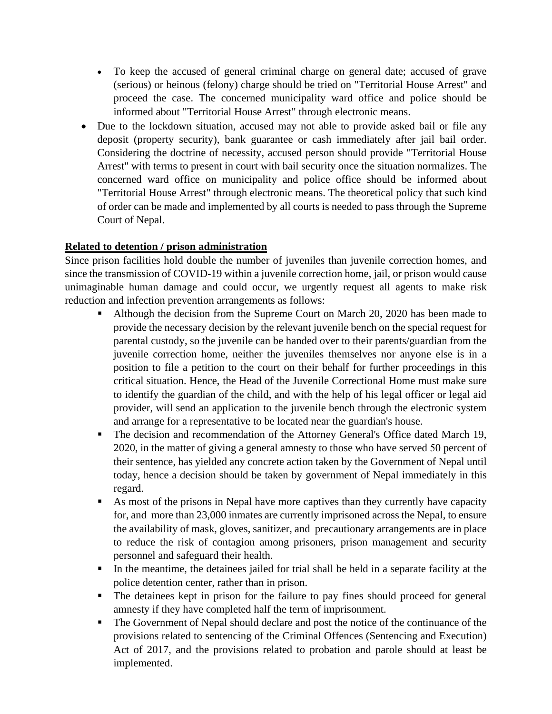- To keep the accused of general criminal charge on general date; accused of grave (serious) or heinous (felony) charge should be tried on "Territorial House Arrest" and proceed the case. The concerned municipality ward office and police should be informed about "Territorial House Arrest" through electronic means.
- Due to the lockdown situation, accused may not able to provide asked bail or file any deposit (property security), bank guarantee or cash immediately after jail bail order. Considering the doctrine of necessity, accused person should provide "Territorial House Arrest" with terms to present in court with bail security once the situation normalizes. The concerned ward office on municipality and police office should be informed about "Territorial House Arrest" through electronic means. The theoretical policy that such kind of order can be made and implemented by all courts is needed to pass through the Supreme Court of Nepal.

### **Related to detention / prison administration**

Since prison facilities hold double the number of juveniles than juvenile correction homes, and since the transmission of COVID-19 within a juvenile correction home, jail, or prison would cause unimaginable human damage and could occur, we urgently request all agents to make risk reduction and infection prevention arrangements as follows:

- Although the decision from the Supreme Court on March 20, 2020 has been made to provide the necessary decision by the relevant juvenile bench on the special request for parental custody, so the juvenile can be handed over to their parents/guardian from the juvenile correction home, neither the juveniles themselves nor anyone else is in a position to file a petition to the court on their behalf for further proceedings in this critical situation. Hence, the Head of the Juvenile Correctional Home must make sure to identify the guardian of the child, and with the help of his legal officer or legal aid provider, will send an application to the juvenile bench through the electronic system and arrange for a representative to be located near the guardian's house.
- **•** The decision and recommendation of the Attorney General's Office dated March 19, 2020, in the matter of giving a general amnesty to those who have served 50 percent of their sentence, has yielded any concrete action taken by the Government of Nepal until today, hence a decision should be taken by government of Nepal immediately in this regard.
- As most of the prisons in Nepal have more captives than they currently have capacity for, and more than 23,000 inmates are currently imprisoned across the Nepal, to ensure the availability of mask, gloves, sanitizer, and precautionary arrangements are in place to reduce the risk of contagion among prisoners, prison management and security personnel and safeguard their health.
- In the meantime, the detainees jailed for trial shall be held in a separate facility at the police detention center, rather than in prison.
- The detainees kept in prison for the failure to pay fines should proceed for general amnesty if they have completed half the term of imprisonment.
- The Government of Nepal should declare and post the notice of the continuance of the provisions related to sentencing of the Criminal Offences (Sentencing and Execution) Act of 2017, and the provisions related to probation and parole should at least be implemented.